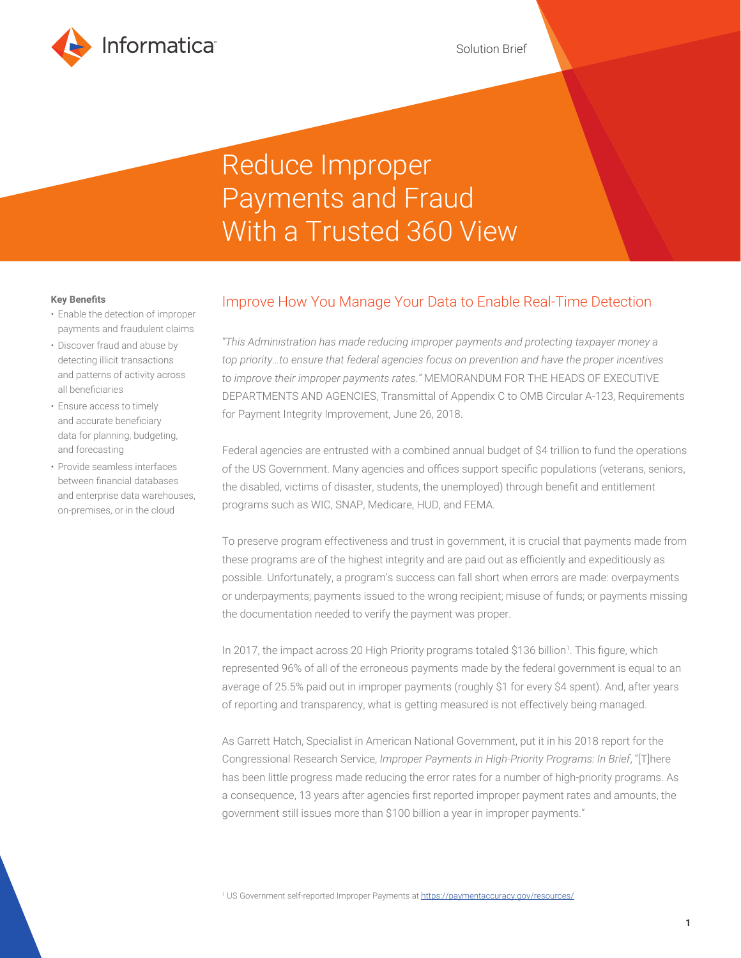

# Reduce Improper Payments and Fraud With a Trusted 360 View

#### **Key Benefits**

- Enable the detection of improper payments and fraudulent claims
- Discover fraud and abuse by detecting illicit transactions and patterns of activity across all beneficiaries
- Ensure access to timely and accurate beneficiary data for planning, budgeting, and forecasting
- Provide seamless interfaces between financial databases and enterprise data warehouses, on-premises, or in the cloud

# Improve How You Manage Your Data to Enable Real-Time Detection

*"This Administration has made reducing improper payments and protecting taxpayer money a top priority…to ensure that federal agencies focus on prevention and have the proper incentives to improve their improper payments rates."* MEMORANDUM FOR THE HEADS OF EXECUTIVE DEPARTMENTS AND AGENCIES, Transmittal of Appendix C to OMB Circular A-123, Requirements for Payment Integrity Improvement, June 26, 2018.

Federal agencies are entrusted with a combined annual budget of \$4 trillion to fund the operations of the US Government. Many agencies and offices support specific populations (veterans, seniors, the disabled, victims of disaster, students, the unemployed) through benefit and entitlement programs such as WIC, SNAP, Medicare, HUD, and FEMA.

To preserve program effectiveness and trust in government, it is crucial that payments made from these programs are of the highest integrity and are paid out as efficiently and expeditiously as possible. Unfortunately, a program's success can fall short when errors are made: overpayments or underpayments; payments issued to the wrong recipient; misuse of funds; or payments missing the documentation needed to verify the payment was proper.

In 2017, the impact across 20 High Priority programs totaled \$136 billion<sup>1</sup>. This figure, which represented 96% of all of the erroneous payments made by the federal government is equal to an average of 25.5% paid out in improper payments (roughly \$1 for every \$4 spent). And, after years of reporting and transparency, what is getting measured is not effectively being managed.

As Garrett Hatch, Specialist in American National Government, put it in his 2018 report for the Congressional Research Service, *Improper Payments in High-Priority Programs: In Brief*, "[T]here has been little progress made reducing the error rates for a number of high-priority programs. As a consequence, 13 years after agencies first reported improper payment rates and amounts, the government still issues more than \$100 billion a year in improper payments."

<sup>1</sup> US Government self-reported Improper Payments at<https://paymentaccuracy.gov/resources/>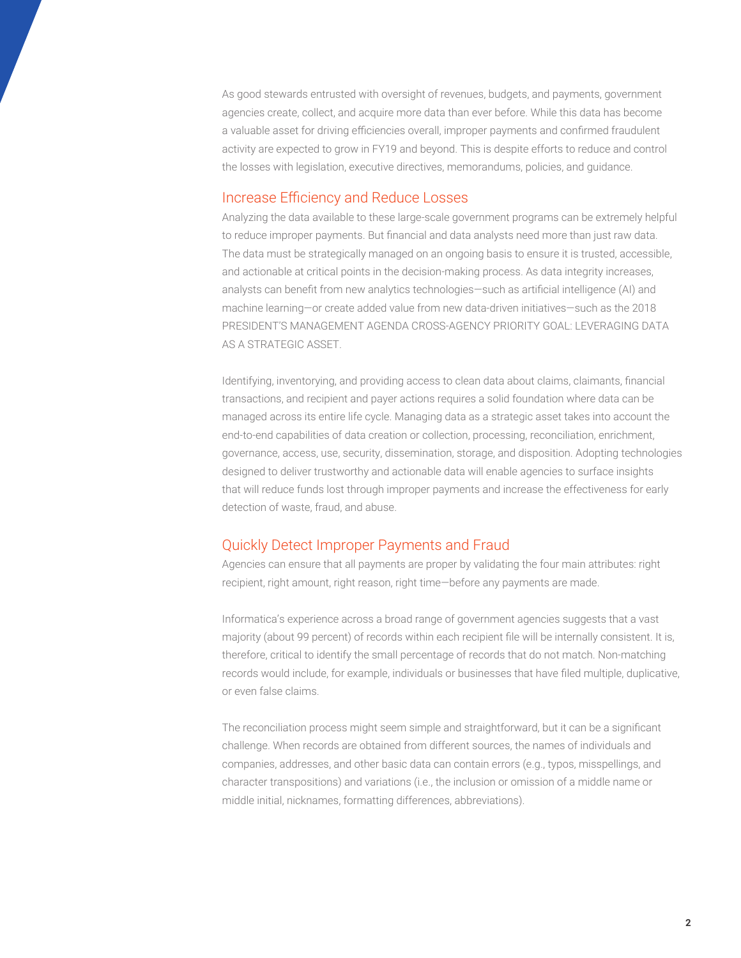As good stewards entrusted with oversight of revenues, budgets, and payments, government agencies create, collect, and acquire more data than ever before. While this data has become a valuable asset for driving efficiencies overall, improper payments and confirmed fraudulent activity are expected to grow in FY19 and beyond. This is despite efforts to reduce and control the losses with legislation, executive directives, memorandums, policies, and guidance.

### Increase Efficiency and Reduce Losses

Analyzing the data available to these large-scale government programs can be extremely helpful to reduce improper payments. But financial and data analysts need more than just raw data. The data must be strategically managed on an ongoing basis to ensure it is trusted, accessible, and actionable at critical points in the decision-making process. As data integrity increases, analysts can benefit from new analytics technologies—such as artificial intelligence (AI) and machine learning—or create added value from new data-driven initiatives—such as the 2018 PRESIDENT'S MANAGEMENT AGENDA CROSS-AGENCY PRIORITY GOAL: LEVERAGING DATA AS A STRATEGIC ASSET.

Identifying, inventorying, and providing access to clean data about claims, claimants, financial transactions, and recipient and payer actions requires a solid foundation where data can be managed across its entire life cycle. Managing data as a strategic asset takes into account the end-to-end capabilities of data creation or collection, processing, reconciliation, enrichment, governance, access, use, security, dissemination, storage, and disposition. Adopting technologies designed to deliver trustworthy and actionable data will enable agencies to surface insights that will reduce funds lost through improper payments and increase the effectiveness for early detection of waste, fraud, and abuse.

## Quickly Detect Improper Payments and Fraud

Agencies can ensure that all payments are proper by validating the four main attributes: right recipient, right amount, right reason, right time—before any payments are made.

Informatica's experience across a broad range of government agencies suggests that a vast majority (about 99 percent) of records within each recipient file will be internally consistent. It is, therefore, critical to identify the small percentage of records that do not match. Non-matching records would include, for example, individuals or businesses that have filed multiple, duplicative, or even false claims.

The reconciliation process might seem simple and straightforward, but it can be a significant challenge. When records are obtained from different sources, the names of individuals and companies, addresses, and other basic data can contain errors (e.g., typos, misspellings, and character transpositions) and variations (i.e., the inclusion or omission of a middle name or middle initial, nicknames, formatting differences, abbreviations).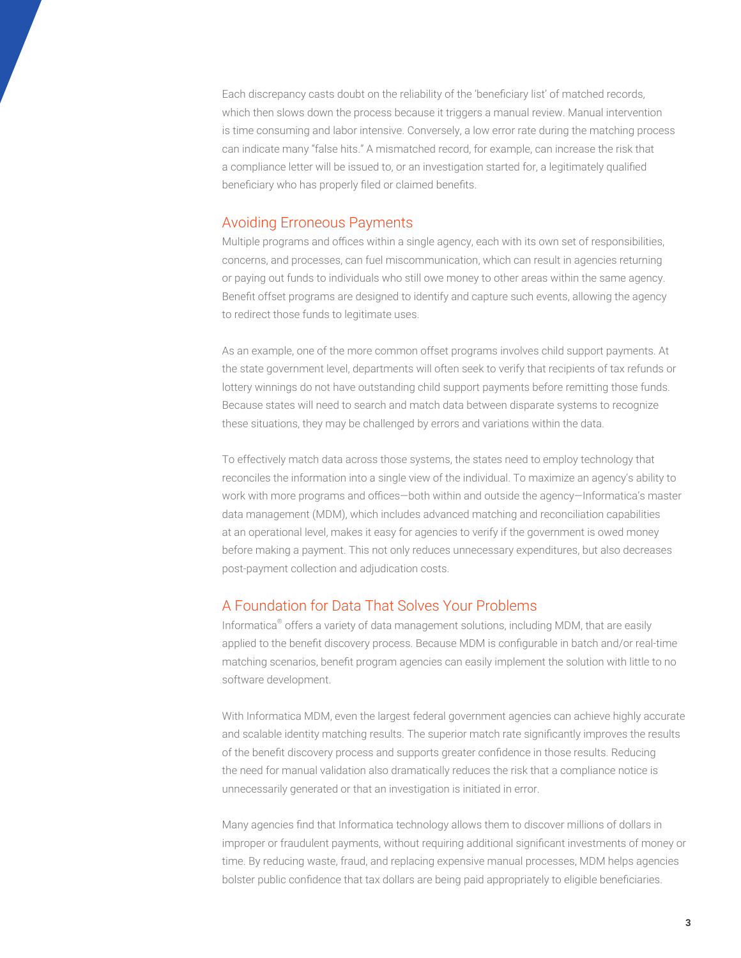Each discrepancy casts doubt on the reliability of the 'beneficiary list' of matched records, which then slows down the process because it triggers a manual review. Manual intervention is time consuming and labor intensive. Conversely, a low error rate during the matching process can indicate many "false hits." A mismatched record, for example, can increase the risk that a compliance letter will be issued to, or an investigation started for, a legitimately qualified beneficiary who has properly filed or claimed benefits.

## Avoiding Erroneous Payments

Multiple programs and offices within a single agency, each with its own set of responsibilities, concerns, and processes, can fuel miscommunication, which can result in agencies returning or paying out funds to individuals who still owe money to other areas within the same agency. Benefit offset programs are designed to identify and capture such events, allowing the agency to redirect those funds to legitimate uses.

As an example, one of the more common offset programs involves child support payments. At the state government level, departments will often seek to verify that recipients of tax refunds or lottery winnings do not have outstanding child support payments before remitting those funds. Because states will need to search and match data between disparate systems to recognize these situations, they may be challenged by errors and variations within the data.

To effectively match data across those systems, the states need to employ technology that reconciles the information into a single view of the individual. To maximize an agency's ability to work with more programs and offices—both within and outside the agency—Informatica's master data management (MDM), which includes advanced matching and reconciliation capabilities at an operational level, makes it easy for agencies to verify if the government is owed money before making a payment. This not only reduces unnecessary expenditures, but also decreases post-payment collection and adjudication costs.

#### A Foundation for Data That Solves Your Problems

Informatica® offers a variety of data management solutions, including MDM, that are easily applied to the benefit discovery process. Because MDM is configurable in batch and/or real-time matching scenarios, benefit program agencies can easily implement the solution with little to no software development.

With Informatica MDM, even the largest federal government agencies can achieve highly accurate and scalable identity matching results. The superior match rate significantly improves the results of the benefit discovery process and supports greater confidence in those results. Reducing the need for manual validation also dramatically reduces the risk that a compliance notice is unnecessarily generated or that an investigation is initiated in error.

Many agencies find that Informatica technology allows them to discover millions of dollars in improper or fraudulent payments, without requiring additional significant investments of money or time. By reducing waste, fraud, and replacing expensive manual processes, MDM helps agencies bolster public confidence that tax dollars are being paid appropriately to eligible beneficiaries.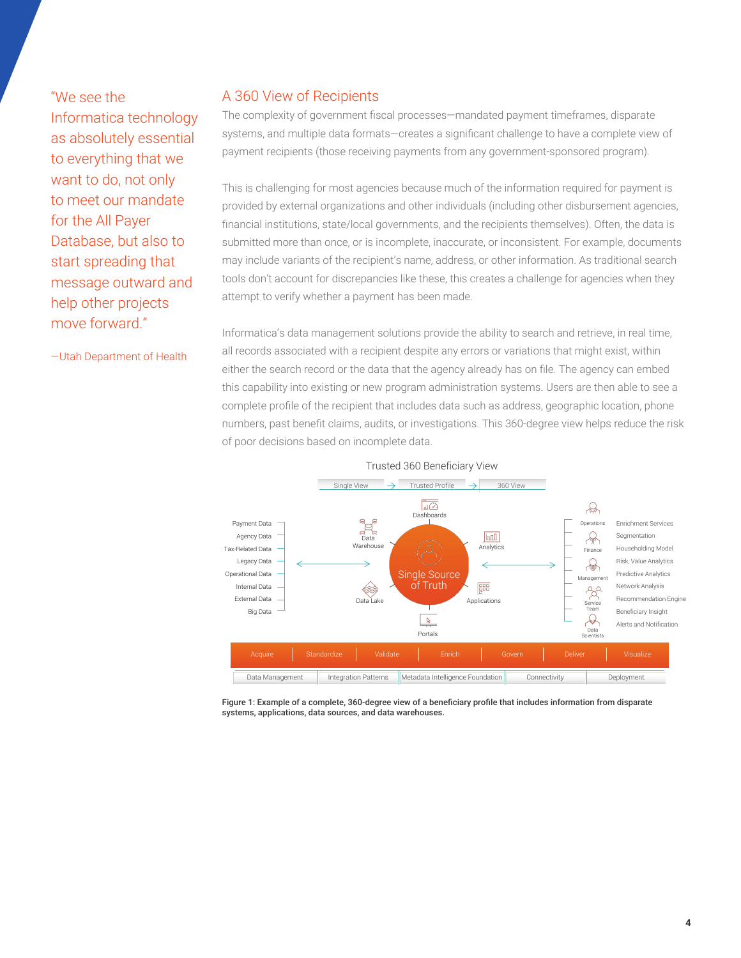"We see the Informatica technology as absolutely essential to everything that we want to do, not only to meet our mandate for the All Payer Database, but also to start spreading that message outward and help other projects move forward."

—Utah Department of Health

## A 360 View of Recipients

The complexity of government fiscal processes—mandated payment timeframes, disparate systems, and multiple data formats—creates a significant challenge to have a complete view of payment recipients (those receiving payments from any government-sponsored program).

This is challenging for most agencies because much of the information required for payment is provided by external organizations and other individuals (including other disbursement agencies, financial institutions, state/local governments, and the recipients themselves). Often, the data is submitted more than once, or is incomplete, inaccurate, or inconsistent. For example, documents may include variants of the recipient's name, address, or other information. As traditional search tools don't account for discrepancies like these, this creates a challenge for agencies when they attempt to verify whether a payment has been made.

Informatica's data management solutions provide the ability to search and retrieve, in real time, all records associated with a recipient despite any errors or variations that might exist, within either the search record or the data that the agency already has on file. The agency can embed this capability into existing or new program administration systems. Users are then able to see a complete profile of the recipient that includes data such as address, geographic location, phone numbers, past benefit claims, audits, or investigations. This 360-degree view helps reduce the risk of poor decisions based on incomplete data.



#### Trusted 360 Beneficiary View

Figure 1: Example of a complete, 360-degree view of a beneficiary profile that includes information from disparate systems, applications, data sources, and data warehouses.